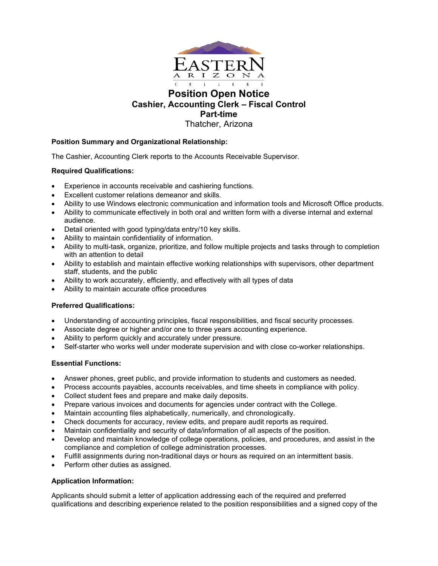

**Cashier, Accounting Clerk – Fiscal Control** 

**Part-time**

Thatcher, Arizona

# **Position Summary and Organizational Relationship:**

The Cashier, Accounting Clerk reports to the Accounts Receivable Supervisor.

## **Required Qualifications:**

- Experience in accounts receivable and cashiering functions.
- Excellent customer relations demeanor and skills.
- Ability to use Windows electronic communication and information tools and Microsoft Office products.
- Ability to communicate effectively in both oral and written form with a diverse internal and external audience.
- Detail oriented with good typing/data entry/10 key skills.
- Ability to maintain confidentiality of information.
- Ability to multi-task, organize, prioritize, and follow multiple projects and tasks through to completion with an attention to detail
- Ability to establish and maintain effective working relationships with supervisors, other department staff, students, and the public
- Ability to work accurately, efficiently, and effectively with all types of data
- Ability to maintain accurate office procedures

### **Preferred Qualifications:**

- Understanding of accounting principles, fiscal responsibilities, and fiscal security processes.
- Associate degree or higher and/or one to three years accounting experience.
- Ability to perform quickly and accurately under pressure.
- Self-starter who works well under moderate supervision and with close co-worker relationships.

### **Essential Functions:**

- Answer phones, greet public, and provide information to students and customers as needed.
- Process accounts payables, accounts receivables, and time sheets in compliance with policy.
- Collect student fees and prepare and make daily deposits.
- Prepare various invoices and documents for agencies under contract with the College.
- Maintain accounting files alphabetically, numerically, and chronologically.
- Check documents for accuracy, review edits, and prepare audit reports as required.
- Maintain confidentiality and security of data/information of all aspects of the position.
- Develop and maintain knowledge of college operations, policies, and procedures, and assist in the compliance and completion of college administration processes.
- Fulfill assignments during non-traditional days or hours as required on an intermittent basis.
- Perform other duties as assigned.

# **Application Information:**

Applicants should submit a letter of application addressing each of the required and preferred qualifications and describing experience related to the position responsibilities and a signed copy of the